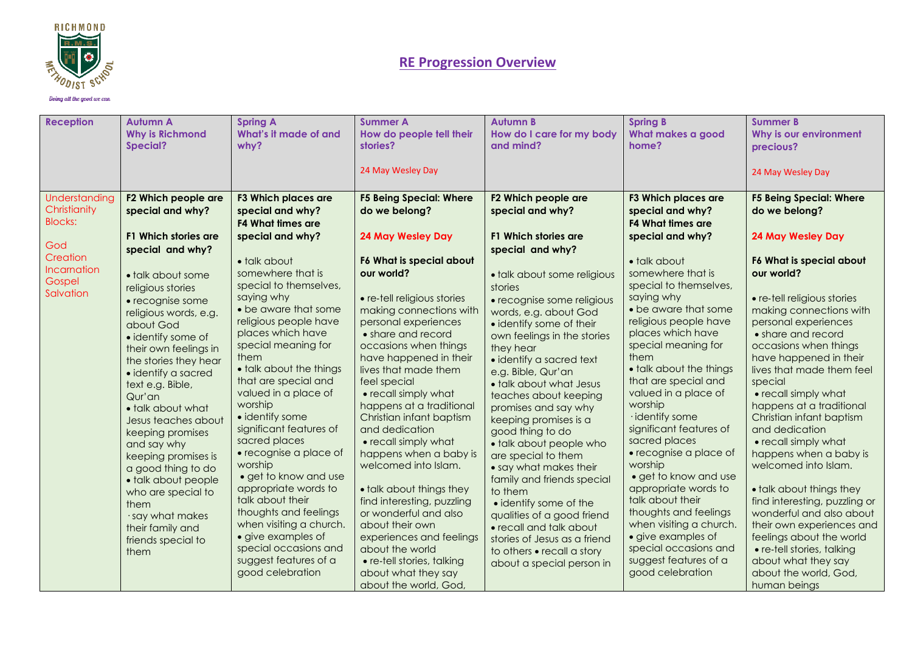

Doing all the good we can

| <b>Reception</b>                                | <b>Autumn A</b><br><b>Why is Richmond</b><br>Special?                                                                                                                                                                                                                                                                                                                                                                                                                                | <b>Spring A</b><br>What's it made of and<br>why?                                                                                                                                                                                                                                                                                                                                                                                                                                                                                                                                              | <b>Summer A</b><br>How do people tell their<br>stories?                                                                                                                                                                                                                                                                                                                                                                                                                                                                                                                                                                         | <b>Autumn B</b><br>How do I care for my body<br>and mind?                                                                                                                                                                                                                                                                                                                                                                                                                                                                                                                                                                                           | <b>Spring B</b><br>What makes a good<br>home?                                                                                                                                                                                                                                                                                                                                                                                                                                                                                                                                                 | <b>Summer B</b><br>Why is our environment                                                                                                                                                                                                                                                                                                                                                                                                                                                                                                                                                                                                             |
|-------------------------------------------------|--------------------------------------------------------------------------------------------------------------------------------------------------------------------------------------------------------------------------------------------------------------------------------------------------------------------------------------------------------------------------------------------------------------------------------------------------------------------------------------|-----------------------------------------------------------------------------------------------------------------------------------------------------------------------------------------------------------------------------------------------------------------------------------------------------------------------------------------------------------------------------------------------------------------------------------------------------------------------------------------------------------------------------------------------------------------------------------------------|---------------------------------------------------------------------------------------------------------------------------------------------------------------------------------------------------------------------------------------------------------------------------------------------------------------------------------------------------------------------------------------------------------------------------------------------------------------------------------------------------------------------------------------------------------------------------------------------------------------------------------|-----------------------------------------------------------------------------------------------------------------------------------------------------------------------------------------------------------------------------------------------------------------------------------------------------------------------------------------------------------------------------------------------------------------------------------------------------------------------------------------------------------------------------------------------------------------------------------------------------------------------------------------------------|-----------------------------------------------------------------------------------------------------------------------------------------------------------------------------------------------------------------------------------------------------------------------------------------------------------------------------------------------------------------------------------------------------------------------------------------------------------------------------------------------------------------------------------------------------------------------------------------------|-------------------------------------------------------------------------------------------------------------------------------------------------------------------------------------------------------------------------------------------------------------------------------------------------------------------------------------------------------------------------------------------------------------------------------------------------------------------------------------------------------------------------------------------------------------------------------------------------------------------------------------------------------|
|                                                 |                                                                                                                                                                                                                                                                                                                                                                                                                                                                                      |                                                                                                                                                                                                                                                                                                                                                                                                                                                                                                                                                                                               | 24 May Wesley Day                                                                                                                                                                                                                                                                                                                                                                                                                                                                                                                                                                                                               |                                                                                                                                                                                                                                                                                                                                                                                                                                                                                                                                                                                                                                                     |                                                                                                                                                                                                                                                                                                                                                                                                                                                                                                                                                                                               | precious?<br>24 May Wesley Day                                                                                                                                                                                                                                                                                                                                                                                                                                                                                                                                                                                                                        |
| Understanding<br>Christianity<br><b>Blocks:</b> | F2 Which people are<br>special and why?                                                                                                                                                                                                                                                                                                                                                                                                                                              | <b>F3 Which places are</b><br>special and why?<br><b>F4 What times are</b>                                                                                                                                                                                                                                                                                                                                                                                                                                                                                                                    | <b>F5 Being Special: Where</b><br>do we belong?                                                                                                                                                                                                                                                                                                                                                                                                                                                                                                                                                                                 | F2 Which people are<br>special and why?                                                                                                                                                                                                                                                                                                                                                                                                                                                                                                                                                                                                             | <b>F3 Which places are</b><br>special and why?<br><b>F4 What times are</b>                                                                                                                                                                                                                                                                                                                                                                                                                                                                                                                    | <b>F5 Being Special: Where</b><br>do we belong?                                                                                                                                                                                                                                                                                                                                                                                                                                                                                                                                                                                                       |
| God                                             | F1 Which stories are<br>special and why?                                                                                                                                                                                                                                                                                                                                                                                                                                             | special and why?                                                                                                                                                                                                                                                                                                                                                                                                                                                                                                                                                                              | <b>24 May Wesley Day</b>                                                                                                                                                                                                                                                                                                                                                                                                                                                                                                                                                                                                        | <b>F1 Which stories are</b><br>special and why?                                                                                                                                                                                                                                                                                                                                                                                                                                                                                                                                                                                                     | special and why?                                                                                                                                                                                                                                                                                                                                                                                                                                                                                                                                                                              | <b>24 May Wesley Day</b>                                                                                                                                                                                                                                                                                                                                                                                                                                                                                                                                                                                                                              |
| Creation<br>Incarnation<br>Gospel<br>Salvation  | • talk about some<br>religious stories<br>• recognise some<br>religious words, e.g.<br>about God<br>• identify some of<br>their own feelings in<br>the stories they hear<br>· identify a sacred<br>text e.g. Bible,<br>Qur'an<br>• talk about what<br>Jesus teaches about<br>keeping promises<br>and say why<br>keeping promises is<br>a good thing to do<br>• talk about people<br>who are special to<br>them<br>· say what makes<br>their family and<br>friends special to<br>them | • talk about<br>somewhere that is<br>special to themselves,<br>saying why<br>• be aware that some<br>religious people have<br>places which have<br>special meaning for<br>them<br>• talk about the things<br>that are special and<br>valued in a place of<br>worship<br>• identify some<br>significant features of<br>sacred places<br>• recognise a place of<br>worship<br>• get to know and use<br>appropriate words to<br>talk about their<br>thoughts and feelings<br>when visiting a church.<br>• give examples of<br>special occasions and<br>suggest features of a<br>good celebration | F6 What is special about<br>our world?<br>• re-tell religious stories<br>making connections with<br>personal experiences<br>• share and record<br>occasions when things<br>have happened in their<br>lives that made them<br>feel special<br>• recall simply what<br>happens at a traditional<br>Christian infant baptism<br>and dedication<br>• recall simply what<br>happens when a baby is<br>welcomed into Islam.<br>• talk about things they<br>find interesting, puzzling<br>or wonderful and also<br>about their own<br>experiences and feelings<br>about the world<br>• re-tell stories, talking<br>about what they say | · talk about some religious<br>stories<br>• recognise some religious<br>words, e.g. about God<br>• identify some of their<br>own feelings in the stories<br>they hear<br>· identify a sacred text<br>e.g. Bible, Qur'an<br>• talk about what Jesus<br>teaches about keeping<br>promises and say why<br>keeping promises is a<br>good thing to do<br>• talk about people who<br>are special to them<br>• say what makes their<br>family and friends special<br>to them<br>• identify some of the<br>qualities of a good friend<br>• recall and talk about<br>stories of Jesus as a friend<br>to others • recall a story<br>about a special person in | • talk about<br>somewhere that is<br>special to themselves,<br>saying why<br>• be aware that some<br>religious people have<br>places which have<br>special meaning for<br>them<br>• talk about the things<br>that are special and<br>valued in a place of<br>worship<br>· identify some<br>significant features of<br>sacred places<br>• recognise a place of<br>worship<br>· get to know and use<br>appropriate words to<br>talk about their<br>thoughts and feelings<br>when visiting a church.<br>• give examples of<br>special occasions and<br>suggest features of a<br>good celebration | F6 What is special about<br>our world?<br>• re-tell religious stories<br>making connections with<br>personal experiences<br>• share and record<br>occasions when things<br>have happened in their<br>lives that made them feel<br>special<br>• recall simply what<br>happens at a traditional<br>Christian infant baptism<br>and dedication<br>• recall simply what<br>happens when a baby is<br>welcomed into Islam.<br>• talk about things they<br>find interesting, puzzling or<br>wonderful and also about<br>their own experiences and<br>feelings about the world<br>· re-tell stories, talking<br>about what they say<br>about the world, God, |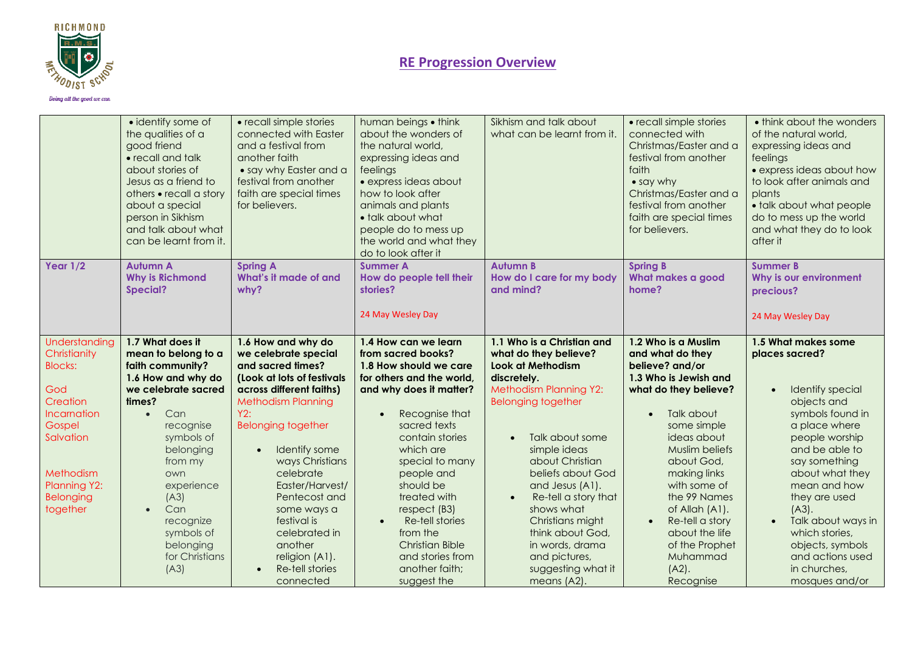

Doing all the good we can

|                                                                                                                                                                       | • identify some of<br>the qualities of a<br>good friend<br>• recall and talk<br>about stories of<br>Jesus as a friend to<br>others • recall a story<br>about a special<br>person in Sikhism<br>and talk about what<br>can be learnt from it.                                                                 | • recall simple stories<br>connected with Easter<br>and a festival from<br>another faith<br>• say why Easter and a<br>festival from another<br>faith are special times<br>for believers.                                                                                                                                                                                                    | human beings • think<br>about the wonders of<br>the natural world.<br>expressing ideas and<br>feelings<br>· express ideas about<br>how to look after<br>animals and plants<br>• talk about what<br>people do to mess up<br>the world and what they<br>do to look after it                                                                                                                                            | Sikhism and talk about<br>what can be learnt from it.                                                                                                                                                                                                                                                                                                                                                      | • recall simple stories<br>connected with<br>Christmas/Easter and a<br>festival from another<br>faith<br>• say why<br>Christmas/Easter and a<br>festival from another<br>faith are special times<br>for believers.                                                                                                                                                  | • think about the wonders<br>of the natural world,<br>expressing ideas and<br>feelings<br>• express ideas about how<br>to look after animals and<br>plants<br>• talk about what people<br>do to mess up the world<br>and what they do to look<br>after it                                                                                            |
|-----------------------------------------------------------------------------------------------------------------------------------------------------------------------|--------------------------------------------------------------------------------------------------------------------------------------------------------------------------------------------------------------------------------------------------------------------------------------------------------------|---------------------------------------------------------------------------------------------------------------------------------------------------------------------------------------------------------------------------------------------------------------------------------------------------------------------------------------------------------------------------------------------|----------------------------------------------------------------------------------------------------------------------------------------------------------------------------------------------------------------------------------------------------------------------------------------------------------------------------------------------------------------------------------------------------------------------|------------------------------------------------------------------------------------------------------------------------------------------------------------------------------------------------------------------------------------------------------------------------------------------------------------------------------------------------------------------------------------------------------------|---------------------------------------------------------------------------------------------------------------------------------------------------------------------------------------------------------------------------------------------------------------------------------------------------------------------------------------------------------------------|------------------------------------------------------------------------------------------------------------------------------------------------------------------------------------------------------------------------------------------------------------------------------------------------------------------------------------------------------|
| Year $1/2$                                                                                                                                                            | <b>Autumn A</b><br><b>Why is Richmond</b><br><b>Special?</b>                                                                                                                                                                                                                                                 | <b>Spring A</b><br>What's it made of and<br>why?                                                                                                                                                                                                                                                                                                                                            | <b>Summer A</b><br>How do people tell their<br>stories?<br>24 May Wesley Day                                                                                                                                                                                                                                                                                                                                         | <b>Autumn B</b><br>How do I care for my body<br>and mind?                                                                                                                                                                                                                                                                                                                                                  | <b>Spring B</b><br>What makes a good<br>home?                                                                                                                                                                                                                                                                                                                       | <b>Summer B</b><br>Why is our environment<br>precious?<br>24 May Wesley Day                                                                                                                                                                                                                                                                          |
| Understanding<br>Christianity<br><b>Blocks:</b><br>God<br>Creation<br>Incarnation<br>Gospel<br>Salvation<br>Methodism<br><b>Planning Y2:</b><br>Belonging<br>together | 1.7 What does it<br>mean to belong to a<br>faith community?<br>1.6 How and why do<br>we celebrate sacred<br>times?<br>Can<br>$\bullet$<br>recognise<br>symbols of<br>belonging<br>from my<br>own<br>experience<br>(A3)<br>Can<br>$\bullet$<br>recognize<br>symbols of<br>belonging<br>for Christians<br>(A3) | 1.6 How and why do<br>we celebrate special<br>and sacred times?<br>(Look at lots of festivals<br>across different faiths)<br><b>Methodism Planning</b><br>Y2:<br><b>Belonging together</b><br>Identify some<br>ways Christians<br>celebrate<br>Easter/Harvest/<br>Pentecost and<br>some ways a<br>festival is<br>celebrated in<br>another<br>religion (A1).<br>Re-tell stories<br>connected | 1.4 How can we learn<br>from sacred books?<br>1.8 How should we care<br>for others and the world,<br>and why does it matter?<br>Recognise that<br>$\bullet$<br>sacred texts<br>contain stories<br>which are<br>special to many<br>people and<br>should be<br>treated with<br>respect (B3)<br>Re-tell stories<br>$\bullet$<br>from the<br><b>Christian Bible</b><br>and stories from<br>another faith;<br>suggest the | 1.1 Who is a Christian and<br>what do they believe?<br>Look at Methodism<br>discretely.<br><b>Methodism Planning Y2:</b><br><b>Belonging together</b><br>Talk about some<br>simple ideas<br>about Christian<br>beliefs about God<br>and Jesus (A1).<br>Re-tell a story that<br>shows what<br>Christians might<br>think about God,<br>in words, drama<br>and pictures,<br>suggesting what it<br>means (A2). | 1.2 Who is a Muslim<br>and what do they<br>believe? and/or<br>1.3 Who is Jewish and<br>what do they believe?<br>Talk about<br>some simple<br>ideas about<br>Muslim beliefs<br>about God,<br>making links<br>with some of<br>the 99 Names<br>of Allah (A1).<br>Re-tell a story<br>$\bullet$<br>about the life<br>of the Prophet<br>Muhammad<br>$(A2)$ .<br>Recognise | 1.5 What makes some<br>places sacred?<br>Identify special<br>objects and<br>symbols found in<br>a place where<br>people worship<br>and be able to<br>say something<br>about what they<br>mean and how<br>they are used<br>$(A3)$ .<br>Talk about ways in<br>which stories,<br>objects, symbols<br>and actions used<br>in churches,<br>mosques and/or |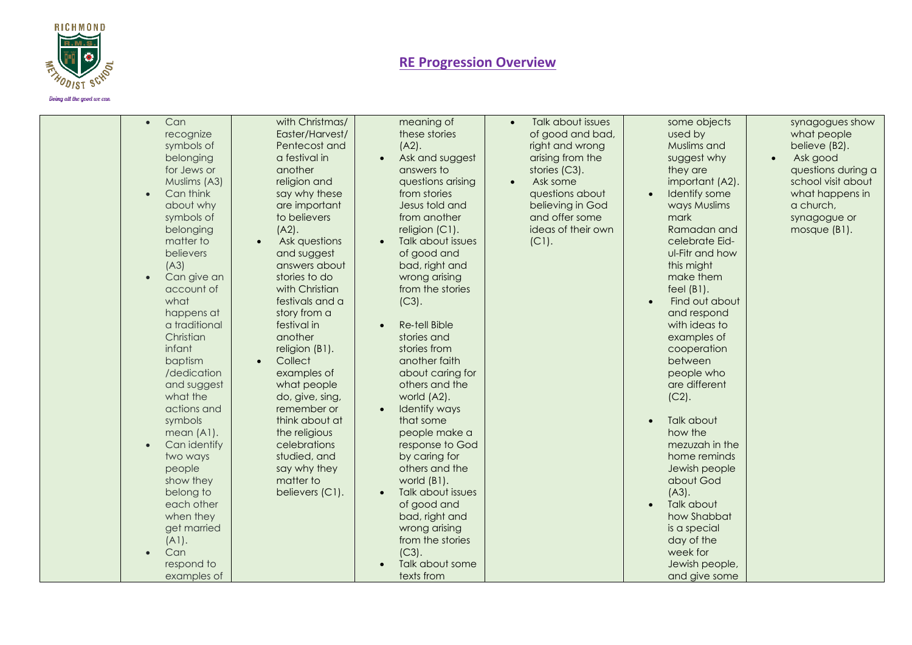

| Can<br>recognize<br>symbols of<br>belonging<br>for Jews or<br>Muslims (A3)<br>Can think<br>$\bullet$<br>about why<br>symbols of<br>belonging<br>matter to<br>believers<br>(A3)<br>Can give an<br>account of<br>what<br>happens at<br>a traditional<br>Christian<br>infant<br>baptism<br>/dedication<br>and suggest<br>what the<br>actions and<br>symbols<br>mean (A1).<br>Can identify<br>two ways<br>people<br>show they<br>belong to<br>each other<br>when they<br>get married<br>(A1).<br>Can<br>respond to<br>examples of | with Christmas/<br>Easter/Harvest/<br>Pentecost and<br>a festival in<br>another<br>religion and<br>say why these<br>are important<br>to believers<br>$(A2)$ .<br>Ask questions<br>and suggest<br>answers about<br>stories to do<br>with Christian<br>festivals and a<br>story from a<br>festival in<br>another<br>religion (B1).<br>Collect<br>examples of<br>what people<br>do, give, sing,<br>remember or<br>think about at<br>the religious<br>celebrations<br>studied, and<br>say why they<br>matter to<br>believers (C1). | meaning of<br>these stories<br>$(A2)$ .<br>Ask and suggest<br>answers to<br>questions arising<br>from stories<br>Jesus told and<br>from another<br>religion (C1).<br>Talk about issues<br>of good and<br>bad, right and<br>wrong arising<br>from the stories<br>$(C3)$ .<br><b>Re-tell Bible</b><br>stories and<br>stories from<br>another faith<br>about caring for<br>others and the<br>world (A2).<br>Identify ways<br>that some<br>people make a<br>response to God<br>by caring for<br>others and the<br>world (B1).<br>Talk about issues<br>of good and<br>bad, right and<br>wrong arising<br>from the stories<br>$(C3)$ .<br>Talk about some<br>texts from | Talk about issues<br>of good and bad,<br>right and wrong<br>arising from the<br>stories (C3).<br>Ask some<br>$\bullet$<br>questions about<br>believing in God<br>and offer some<br>ideas of their own<br>$(C1)$ . | some objects<br>used by<br>Muslims and<br>suggest why<br>they are<br>important (A2).<br>Identify some<br>$\bullet$<br>ways Muslims<br>mark<br>Ramadan and<br>celebrate Eid-<br>ul-Fitr and how<br>this might<br>make them<br>feel $(B1)$ .<br>Find out about<br>and respond<br>with ideas to<br>examples of<br>cooperation<br>between<br>people who<br>are different<br>$(C2)$ .<br>Talk about<br>how the<br>mezuzah in the<br>home reminds<br>Jewish people<br>about God<br>$(A3)$ .<br>Talk about<br>how Shabbat<br>is a special<br>day of the<br>week for<br>Jewish people,<br>and give some | synagogues show<br>what people<br>believe (B2).<br>Ask good<br>questions during a<br>school visit about<br>what happens in<br>a church,<br>synagogue or<br>mosque (B1). |
|-------------------------------------------------------------------------------------------------------------------------------------------------------------------------------------------------------------------------------------------------------------------------------------------------------------------------------------------------------------------------------------------------------------------------------------------------------------------------------------------------------------------------------|--------------------------------------------------------------------------------------------------------------------------------------------------------------------------------------------------------------------------------------------------------------------------------------------------------------------------------------------------------------------------------------------------------------------------------------------------------------------------------------------------------------------------------|-------------------------------------------------------------------------------------------------------------------------------------------------------------------------------------------------------------------------------------------------------------------------------------------------------------------------------------------------------------------------------------------------------------------------------------------------------------------------------------------------------------------------------------------------------------------------------------------------------------------------------------------------------------------|-------------------------------------------------------------------------------------------------------------------------------------------------------------------------------------------------------------------|-------------------------------------------------------------------------------------------------------------------------------------------------------------------------------------------------------------------------------------------------------------------------------------------------------------------------------------------------------------------------------------------------------------------------------------------------------------------------------------------------------------------------------------------------------------------------------------------------|-------------------------------------------------------------------------------------------------------------------------------------------------------------------------|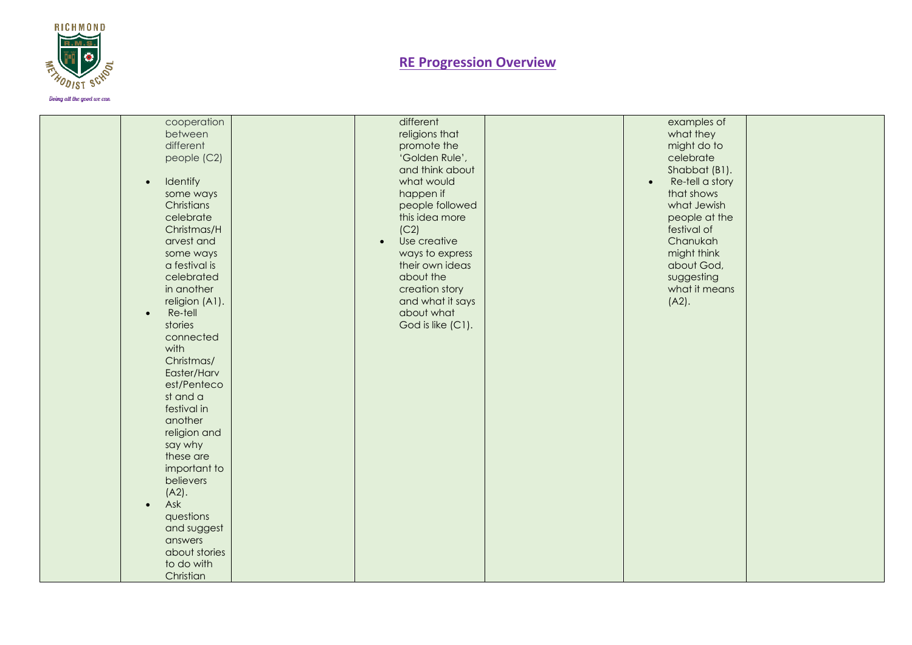

| cooperation           | different                 | examples of                  |  |
|-----------------------|---------------------------|------------------------------|--|
| between               | religions that            | what they                    |  |
| different             | promote the               | might do to                  |  |
| people (C2)           | 'Golden Rule',            | celebrate                    |  |
|                       | and think about           | Shabbat (B1).                |  |
| Identify<br>$\bullet$ | what would                | Re-tell a story<br>$\bullet$ |  |
| some ways             | happen if                 | that shows                   |  |
| Christians            |                           |                              |  |
|                       | people followed           | what Jewish                  |  |
| celebrate             | this idea more            | people at the                |  |
| Christmas/H           | (C2)                      | festival of                  |  |
| arvest and            | Use creative<br>$\bullet$ | Chanukah                     |  |
| some ways             | ways to express           | might think                  |  |
| a festival is         | their own ideas           | about God,                   |  |
| celebrated            | about the                 | suggesting                   |  |
| in another            | creation story            | what it means                |  |
| religion (A1).        | and what it says          | $(A2)$ .                     |  |
| Re-tell<br>$\bullet$  | about what                |                              |  |
| stories               | God is like (C1).         |                              |  |
| connected             |                           |                              |  |
| with                  |                           |                              |  |
| Christmas/            |                           |                              |  |
| Easter/Harv           |                           |                              |  |
| est/Penteco           |                           |                              |  |
| st and a              |                           |                              |  |
| festival in           |                           |                              |  |
| another               |                           |                              |  |
| religion and          |                           |                              |  |
|                       |                           |                              |  |
| say why               |                           |                              |  |
| these are             |                           |                              |  |
| important to          |                           |                              |  |
| believers             |                           |                              |  |
| $(A2)$ .              |                           |                              |  |
| Ask<br>$\bullet$      |                           |                              |  |
| questions             |                           |                              |  |
| and suggest           |                           |                              |  |
| answers               |                           |                              |  |
| about stories         |                           |                              |  |
| to do with            |                           |                              |  |
| Christian             |                           |                              |  |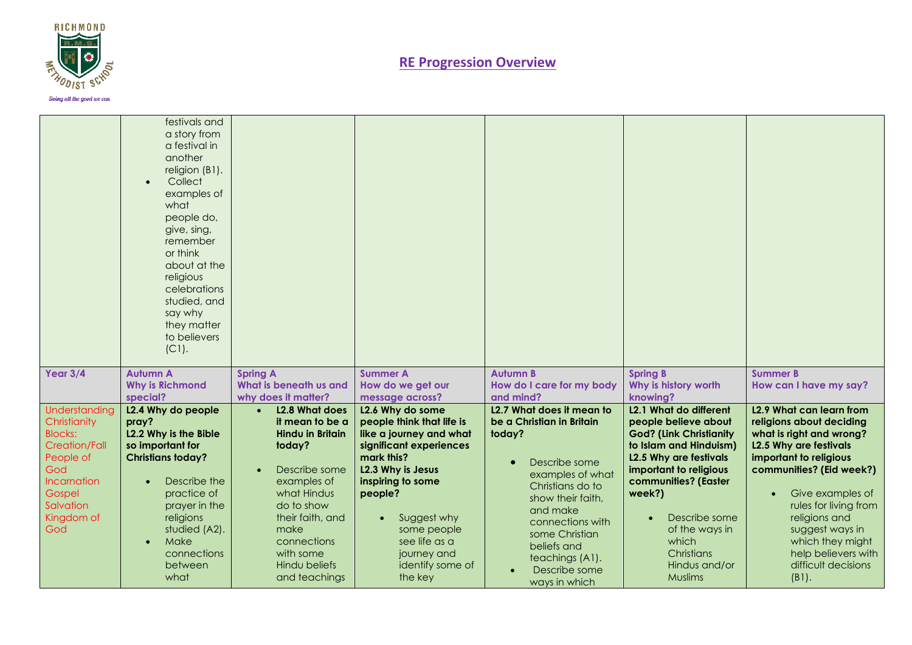

|                                                                                                                                                        | festivals and<br>a story from<br>a festival in<br>another<br>religion (B1).<br>Collect<br>examples of<br>what<br>people do,<br>give, sing,<br>remember<br>or think<br>about at the<br>religious<br>celebrations<br>studied, and<br>say why<br>they matter<br>to believers<br>$(C1)$ . |                                                                                                                                                                                                                                            |                                                                                                                                                                                                                                                                     |                                                                                                                                                                                                                                                                      |                                                                                                                                                                                                                                                                                               |                                                                                                                                                                                                                                                                                                                                                 |
|--------------------------------------------------------------------------------------------------------------------------------------------------------|---------------------------------------------------------------------------------------------------------------------------------------------------------------------------------------------------------------------------------------------------------------------------------------|--------------------------------------------------------------------------------------------------------------------------------------------------------------------------------------------------------------------------------------------|---------------------------------------------------------------------------------------------------------------------------------------------------------------------------------------------------------------------------------------------------------------------|----------------------------------------------------------------------------------------------------------------------------------------------------------------------------------------------------------------------------------------------------------------------|-----------------------------------------------------------------------------------------------------------------------------------------------------------------------------------------------------------------------------------------------------------------------------------------------|-------------------------------------------------------------------------------------------------------------------------------------------------------------------------------------------------------------------------------------------------------------------------------------------------------------------------------------------------|
| Year $3/4$                                                                                                                                             | <b>Autumn A</b><br><b>Why is Richmond</b><br>special?                                                                                                                                                                                                                                 | <b>Spring A</b><br>What is beneath us and<br>why does it matter?                                                                                                                                                                           | <b>Summer A</b><br>How do we get our<br>message across?                                                                                                                                                                                                             | <b>Autumn B</b><br>How do I care for my body<br>and mind?                                                                                                                                                                                                            | <b>Spring B</b><br>Why is history worth<br>knowing?                                                                                                                                                                                                                                           | <b>Summer B</b><br>How can I have my say?                                                                                                                                                                                                                                                                                                       |
| Understanding<br>Christianity<br><b>Blocks:</b><br><b>Creation/Fall</b><br>People of<br>God<br>Incarnation<br>Gospel<br>Salvation<br>Kingdom of<br>God | L2.4 Why do people<br>pray?<br>L2.2 Why is the Bible<br>so important for<br><b>Christians today?</b><br>Describe the<br>practice of<br>prayer in the<br>religions<br>studied (A2).<br>Make<br>connections<br>between<br>what                                                          | L2.8 What does<br>it mean to be a<br><b>Hindu in Britain</b><br>today?<br>Describe some<br>$\bullet$<br>examples of<br>what Hindus<br>do to show<br>their faith, and<br>make<br>connections<br>with some<br>Hindu beliefs<br>and teachings | L2.6 Why do some<br>people think that life is<br>like a journey and what<br>significant experiences<br>mark this?<br>L2.3 Why is Jesus<br>inspiring to some<br>people?<br>Suggest why<br>some people<br>see life as a<br>journey and<br>identify some of<br>the key | L2.7 What does it mean to<br>be a Christian in Britain<br>today?<br>Describe some<br>examples of what<br>Christians do to<br>show their faith,<br>and make<br>connections with<br>some Christian<br>beliefs and<br>teachings (A1).<br>Describe some<br>ways in which | L2.1 What do different<br>people believe about<br><b>God? (Link Christianity</b><br>to Islam and Hinduism)<br><b>L2.5 Why are festivals</b><br>important to religious<br>communities? (Easter<br>week?)<br>Describe some<br>of the ways in<br>which<br>Christians<br>Hindus and/or<br>Muslims | L <sub>2.9</sub> What can learn from<br>religions about deciding<br>what is right and wrong?<br><b>L2.5 Why are festivals</b><br>important to religious<br>communities? (Eid week?)<br>Give examples of<br>rules for living from<br>religions and<br>suggest ways in<br>which they might<br>help believers with<br>difficult decisions<br>(B1). |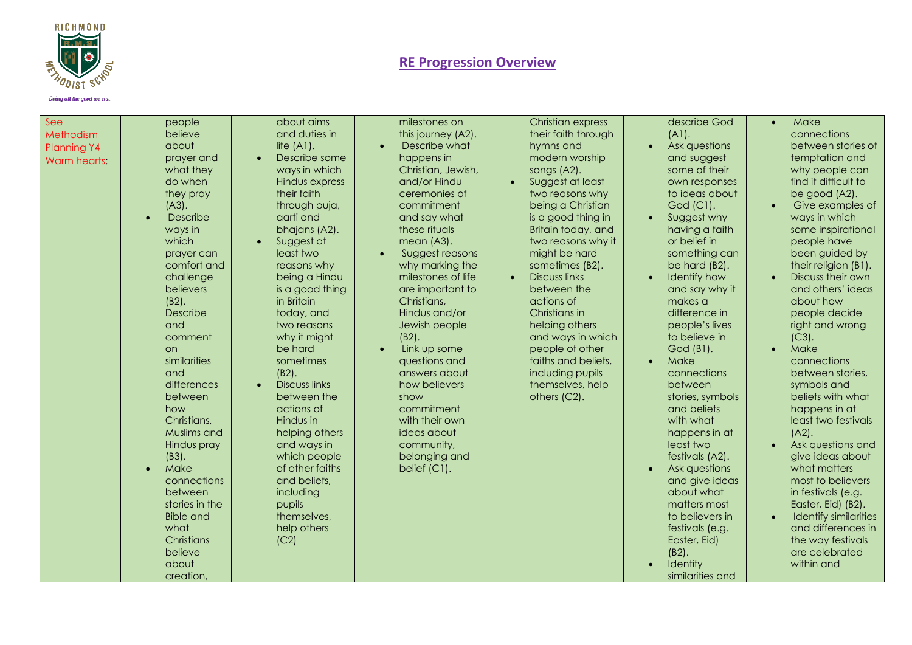

|  | vay uu aw goon we can |  |
|--|-----------------------|--|
|  |                       |  |

| See<br>Methodism<br>Planning Y4<br><b>Warm hearts:</b> | people<br>believe<br>about<br>prayer and<br>what they<br>do when<br>they pray<br>$(A3)$ .<br>Describe<br>$\bullet$<br>ways in<br>which<br>prayer can<br>comfort and<br>challenge<br>believers<br>$(B2)$ .<br>Describe<br>and<br>comment<br><b>on</b><br>similarities<br>and<br>differences<br>between<br>how<br>Christians,<br>Muslims and<br>Hindus pray<br>$(B3)$ .<br>Make<br>$\bullet$<br>connections<br>between<br>stories in the<br><b>Bible and</b><br>what<br>Christians<br>believe<br>about<br>creation, | about aims<br>and duties in<br>life $(A1)$ .<br>Describe some<br>ways in which<br>Hindus express<br>their faith<br>through puja,<br>aarti and<br>bhajans (A2).<br>Suggest at<br>least two<br>reasons why<br>being a Hindu<br>is a good thing<br>in Britain<br>today, and<br>two reasons<br>why it might<br>be hard<br>sometimes<br>$(B2)$ .<br><b>Discuss links</b><br>between the<br>actions of<br>Hindus in<br>helping others<br>and ways in<br>which people<br>of other faiths<br>and beliefs,<br>including<br>pupils<br>themselves,<br>help others<br>(C2) | milestones on<br>this journey (A2).<br>Describe what<br>happens in<br>Christian, Jewish,<br>and/or Hindu<br>ceremonies of<br>commitment<br>and say what<br>these rituals<br>mean (A3).<br>Suggest reasons<br>why marking the<br>milestones of life<br>are important to<br>Christians,<br>Hindus and/or<br>Jewish people<br>$(B2)$ .<br>Link up some<br>$\bullet$<br>questions and<br>answers about<br>how believers<br>show<br>commitment<br>with their own<br>ideas about<br>community,<br>belonging and<br>belief (C1). | <b>Christian express</b><br>their faith through<br>hymns and<br>modern worship<br>songs (A2).<br>Suggest at least<br>two reasons why<br>being a Christian<br>is a good thing in<br>Britain today, and<br>two reasons why it<br>might be hard<br>sometimes (B2).<br><b>Discuss links</b><br>between the<br>actions of<br>Christians in<br>helping others<br>and ways in which<br>people of other<br>faiths and beliefs,<br>including pupils<br>themselves, help<br>others (C2). | describe God<br>(A1).<br>Ask questions<br>and suggest<br>some of their<br>own responses<br>to ideas about<br>God (C1).<br>Suggest why<br>$\bullet$<br>having a faith<br>or belief in<br>something can<br>be hard (B2).<br>Identify how<br>and say why it<br>makes a<br>difference in<br>people's lives<br>to believe in<br>God (B1).<br>Make<br>connections<br>between<br>stories, symbols<br>and beliefs<br>with what<br>happens in at<br>least two<br>festivals (A2).<br>Ask questions<br>and give ideas<br>about what<br>matters most<br>to believers in<br>festivals (e.g.<br>Easter, Eid)<br>$(B2)$ .<br>Identify<br>similarities and | Make<br>$\bullet$<br>connections<br>between stories of<br>temptation and<br>why people can<br>find it difficult to<br>be good (A2).<br>Give examples of<br>ways in which<br>some inspirational<br>people have<br>been guided by<br>their religion (B1).<br>Discuss their own<br>and others' ideas<br>about how<br>people decide<br>right and wrong<br>$(C3)$ .<br>Make<br>$\bullet$<br>connections<br>between stories,<br>symbols and<br>beliefs with what<br>happens in at<br>least two festivals<br>$(A2)$ .<br>Ask questions and<br>give ideas about<br>what matters<br>most to believers<br>in festivals (e.g.<br>Easter, Eid) (B2).<br><b>Identify similarities</b><br>and differences in<br>the way festivals<br>are celebrated<br>within and |
|--------------------------------------------------------|-------------------------------------------------------------------------------------------------------------------------------------------------------------------------------------------------------------------------------------------------------------------------------------------------------------------------------------------------------------------------------------------------------------------------------------------------------------------------------------------------------------------|----------------------------------------------------------------------------------------------------------------------------------------------------------------------------------------------------------------------------------------------------------------------------------------------------------------------------------------------------------------------------------------------------------------------------------------------------------------------------------------------------------------------------------------------------------------|---------------------------------------------------------------------------------------------------------------------------------------------------------------------------------------------------------------------------------------------------------------------------------------------------------------------------------------------------------------------------------------------------------------------------------------------------------------------------------------------------------------------------|--------------------------------------------------------------------------------------------------------------------------------------------------------------------------------------------------------------------------------------------------------------------------------------------------------------------------------------------------------------------------------------------------------------------------------------------------------------------------------|--------------------------------------------------------------------------------------------------------------------------------------------------------------------------------------------------------------------------------------------------------------------------------------------------------------------------------------------------------------------------------------------------------------------------------------------------------------------------------------------------------------------------------------------------------------------------------------------------------------------------------------------|-----------------------------------------------------------------------------------------------------------------------------------------------------------------------------------------------------------------------------------------------------------------------------------------------------------------------------------------------------------------------------------------------------------------------------------------------------------------------------------------------------------------------------------------------------------------------------------------------------------------------------------------------------------------------------------------------------------------------------------------------------|
|--------------------------------------------------------|-------------------------------------------------------------------------------------------------------------------------------------------------------------------------------------------------------------------------------------------------------------------------------------------------------------------------------------------------------------------------------------------------------------------------------------------------------------------------------------------------------------------|----------------------------------------------------------------------------------------------------------------------------------------------------------------------------------------------------------------------------------------------------------------------------------------------------------------------------------------------------------------------------------------------------------------------------------------------------------------------------------------------------------------------------------------------------------------|---------------------------------------------------------------------------------------------------------------------------------------------------------------------------------------------------------------------------------------------------------------------------------------------------------------------------------------------------------------------------------------------------------------------------------------------------------------------------------------------------------------------------|--------------------------------------------------------------------------------------------------------------------------------------------------------------------------------------------------------------------------------------------------------------------------------------------------------------------------------------------------------------------------------------------------------------------------------------------------------------------------------|--------------------------------------------------------------------------------------------------------------------------------------------------------------------------------------------------------------------------------------------------------------------------------------------------------------------------------------------------------------------------------------------------------------------------------------------------------------------------------------------------------------------------------------------------------------------------------------------------------------------------------------------|-----------------------------------------------------------------------------------------------------------------------------------------------------------------------------------------------------------------------------------------------------------------------------------------------------------------------------------------------------------------------------------------------------------------------------------------------------------------------------------------------------------------------------------------------------------------------------------------------------------------------------------------------------------------------------------------------------------------------------------------------------|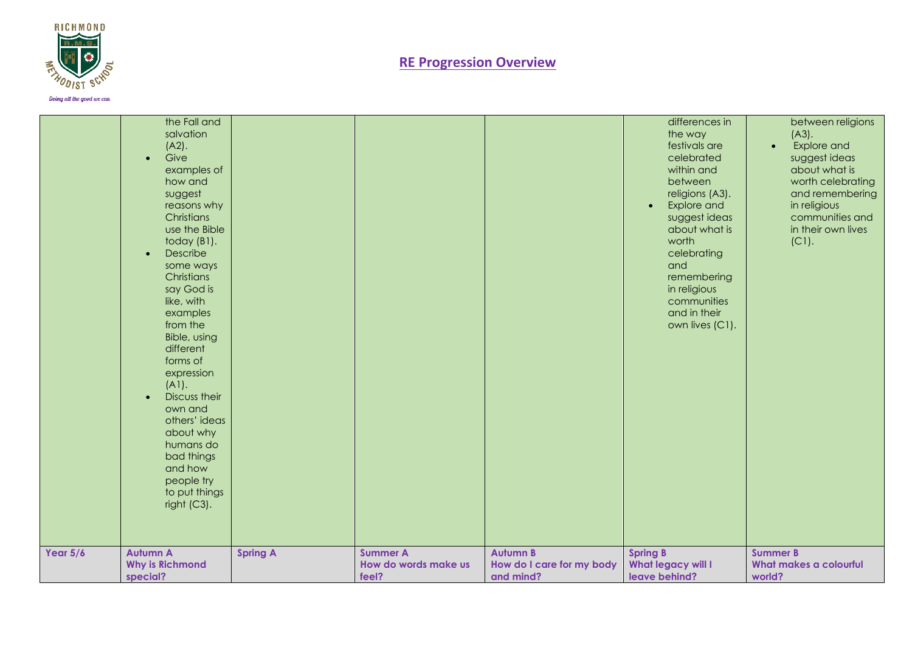

|            | the Fall and<br>salvation<br>$(A2)$ .<br>Give<br>$\bullet$<br>examples of<br>how and<br>suggest<br>reasons why<br>Christians<br>use the Bible<br>today (B1).<br>Describe<br>$\bullet$<br>some ways<br>Christians<br>say God is<br>like, with<br>examples<br>from the<br>Bible, using<br>different<br>forms of<br>expression<br>$(A1)$ .<br>Discuss their<br>own and<br>others' ideas<br>about why<br>humans do<br>bad things<br>and how<br>people try<br>to put things<br>right (C3).<br><b>Autumn A</b> |                 | <b>Summer A</b>               | <b>Autumn B</b>                        | differences in<br>the way<br>festivals are<br>celebrated<br>within and<br>between<br>religions (A3).<br>Explore and<br>$\bullet$<br>suggest ideas<br>about what is<br>worth<br>celebrating<br>and<br>remembering<br>in religious<br>communities<br>and in their<br>own lives (C1). | between religions<br>$(A3)$ .<br>Explore and<br>$\bullet$<br>suggest ideas<br>about what is<br>worth celebrating<br>and remembering<br>in religious<br>communities and<br>in their own lives<br>$(C1)$ .<br><b>Summer B</b> |
|------------|----------------------------------------------------------------------------------------------------------------------------------------------------------------------------------------------------------------------------------------------------------------------------------------------------------------------------------------------------------------------------------------------------------------------------------------------------------------------------------------------------------|-----------------|-------------------------------|----------------------------------------|------------------------------------------------------------------------------------------------------------------------------------------------------------------------------------------------------------------------------------------------------------------------------------|-----------------------------------------------------------------------------------------------------------------------------------------------------------------------------------------------------------------------------|
| Year $5/6$ | <b>Why is Richmond</b><br>special?                                                                                                                                                                                                                                                                                                                                                                                                                                                                       | <b>Spring A</b> | How do words make us<br>feel? | How do I care for my body<br>and mind? | <b>Spring B</b><br><b>What legacy will I</b><br>leave behind?                                                                                                                                                                                                                      | What makes a colourful<br>world?                                                                                                                                                                                            |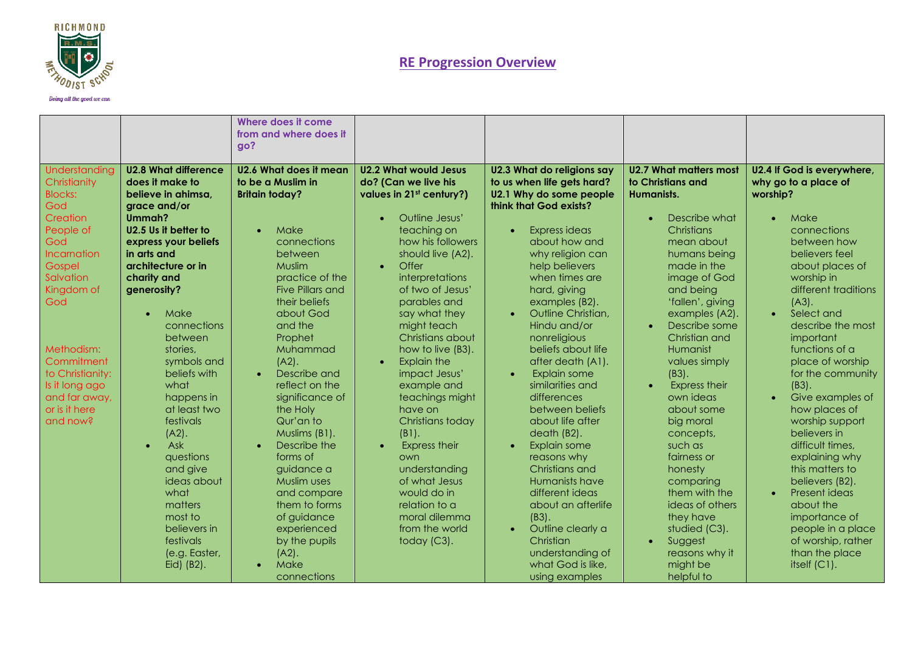

|                                                                                                                                                                                                                                                                                                                                                                                                                                                                                                                                                                    | Where does it come<br>from and where does it<br>go?                                                                                                                                                                                                                                                                                                                                                                                                                                                                                                                                                                                                                                                                                                                                      |                                                                                                                                                                                                                                                                                                                                                                                                                                                                                                                                                                                                       |                                                                                                                                                                                                                                                                                                                                                                                                                                                                                                                                                                                                                                                                                 |                                                                                                                                                                                                                                                                                                                                                                                                                                                                                                                                                                                    |                                                                                                                                                                                                                                                                                                                                                                                                                                                                                                                                                                                                                                                           |
|--------------------------------------------------------------------------------------------------------------------------------------------------------------------------------------------------------------------------------------------------------------------------------------------------------------------------------------------------------------------------------------------------------------------------------------------------------------------------------------------------------------------------------------------------------------------|------------------------------------------------------------------------------------------------------------------------------------------------------------------------------------------------------------------------------------------------------------------------------------------------------------------------------------------------------------------------------------------------------------------------------------------------------------------------------------------------------------------------------------------------------------------------------------------------------------------------------------------------------------------------------------------------------------------------------------------------------------------------------------------|-------------------------------------------------------------------------------------------------------------------------------------------------------------------------------------------------------------------------------------------------------------------------------------------------------------------------------------------------------------------------------------------------------------------------------------------------------------------------------------------------------------------------------------------------------------------------------------------------------|---------------------------------------------------------------------------------------------------------------------------------------------------------------------------------------------------------------------------------------------------------------------------------------------------------------------------------------------------------------------------------------------------------------------------------------------------------------------------------------------------------------------------------------------------------------------------------------------------------------------------------------------------------------------------------|------------------------------------------------------------------------------------------------------------------------------------------------------------------------------------------------------------------------------------------------------------------------------------------------------------------------------------------------------------------------------------------------------------------------------------------------------------------------------------------------------------------------------------------------------------------------------------|-----------------------------------------------------------------------------------------------------------------------------------------------------------------------------------------------------------------------------------------------------------------------------------------------------------------------------------------------------------------------------------------------------------------------------------------------------------------------------------------------------------------------------------------------------------------------------------------------------------------------------------------------------------|
| <b>U2.8 What difference</b><br>Understanding<br>does it make to<br>Christianity<br><b>Blocks:</b><br>believe in ahimsa.<br>God<br>grace and/or<br>Creation<br>Ummah?<br>U2.5 Us it better to<br>People of<br>God<br>express your beliefs<br><b>Incarnation</b><br>in arts and<br>architecture or in<br>Gospel<br>Salvation<br>charity and<br>Kingdom of<br>generosity?<br>God<br>Make<br>$\bullet$<br>Methodism:<br>Commitment<br>to Christianity:<br>what<br>Is it long ago<br>and far away,<br>or is it here<br>and now?<br>$(A2)$ .<br>Ask<br>$\bullet$<br>what | U2.6 What does it mean<br>to be a Muslim in<br><b>Britain today?</b><br>Make<br>$\bullet$<br>connections<br>between<br><b>Muslim</b><br>practice of the<br>Five Pillars and<br>their beliefs<br>about God<br>connections<br>and the<br>between<br>Prophet<br>Muhammad<br>stories.<br>symbols and<br>$(A2)$ .<br>beliefs with<br>Describe and<br>$\bullet$<br>reflect on the<br>happens in<br>significance of<br>at least two<br>the Holy<br>festivals<br>Qur'an to<br>Muslims (B1).<br>Describe the<br>forms of<br>auestions<br>and give<br>quidance a<br>ideas about<br>Muslim uses<br>and compare<br>matters<br>them to forms<br>most to<br>of guidance<br>believers in<br>experienced<br>festivals<br>by the pupils<br>(e.g. Easter,<br>$(A2)$ .<br>Make<br>Eid) (B2).<br>connections | <b>U2.2 What would Jesus</b><br>do? (Can we live his<br>values in 21st century?)<br>Outline Jesus'<br>teaching on<br>how his followers<br>should live (A2).<br>Offer<br>$\bullet$<br>interpretations<br>of two of Jesus'<br>parables and<br>say what they<br>might teach<br>Christians about<br>how to live (B3).<br><b>Explain the</b><br>$\bullet$<br>impact Jesus'<br>example and<br>teachings might<br>have on<br>Christians today<br>$(B1)$ .<br><b>Express their</b><br>own<br>understanding<br>of what Jesus<br>would do in<br>relation to a<br>moral dilemma<br>from the world<br>today (C3). | <b>U2.3 What do religions say</b><br>to us when life gets hard?<br>U2.1 Why do some people<br>think that God exists?<br>Express ideas<br>about how and<br>why religion can<br>help believers<br>when times are<br>hard, giving<br>examples (B2).<br>Outline Christian,<br>Hindu and/or<br>nonreligious<br>beliefs about life<br>after death (A1).<br>Explain some<br>similarities and<br>differences<br>between beliefs<br>about life after<br>death (B2).<br>Explain some<br>reasons why<br>Christians and<br>Humanists have<br>different ideas<br>about an afterlife<br>$(B3)$ .<br>Outline clearly a<br>Christian<br>understanding of<br>what God is like,<br>using examples | U2.7 What matters most<br>to Christians and<br>Humanists.<br>Describe what<br>Christians<br>mean about<br>humans being<br>made in the<br>image of God<br>and being<br>'fallen', giving<br>examples (A2).<br>Describe some<br>$\bullet$<br>Christian and<br>Humanist<br>values simply<br>$(B3)$ .<br><b>Express their</b><br>$\bullet$<br>own ideas<br>about some<br>big moral<br>concepts,<br>such as<br>fairness or<br>honesty<br>comparing<br>them with the<br>ideas of others<br>they have<br>studied (C3).<br>Suggest<br>$\bullet$<br>reasons why it<br>might be<br>helpful to | U2.4 If God is everywhere,<br>why go to a place of<br>worship?<br>Make<br>$\bullet$<br>connections<br>between how<br>believers feel<br>about places of<br>worship in<br>different traditions<br>$(A3)$ .<br>Select and<br>$\bullet$<br>describe the most<br>important<br>functions of a<br>place of worship<br>for the community<br>$(B3)$ .<br>Give examples of<br>$\bullet$<br>how places of<br>worship support<br>believers in<br>difficult times,<br>explaining why<br>this matters to<br>believers (B2).<br>Present ideas<br>$\bullet$<br>about the<br>importance of<br>people in a place<br>of worship, rather<br>than the place<br>itself $(C1)$ . |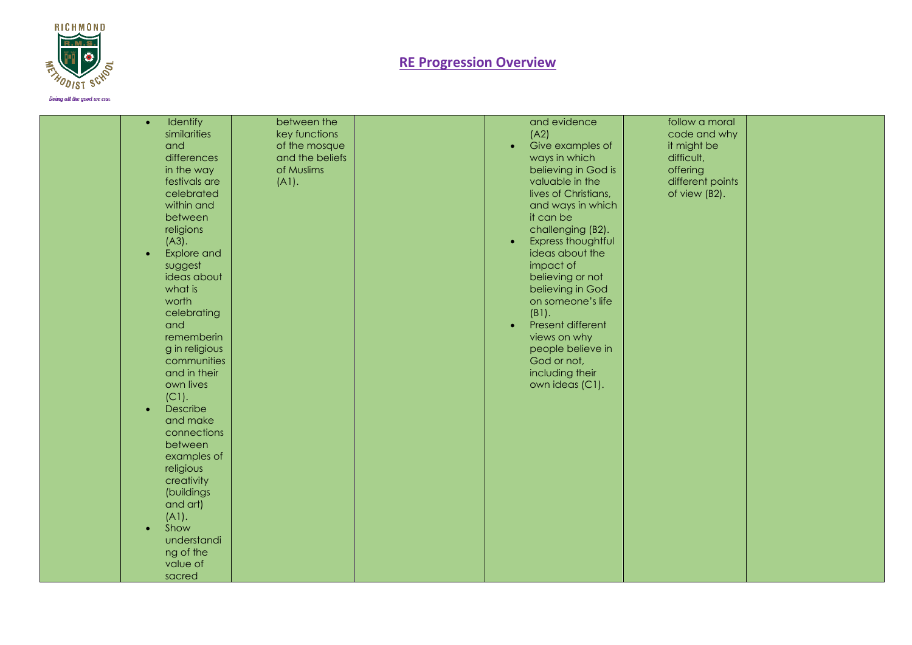

Doing all the good we can

| $\bullet$<br>and<br>$(A3)$ .<br>$\bullet$        | Identify<br>between the<br>similarities<br>key functions<br>of the mosque<br>differences<br>and the beliefs<br>of Muslims<br>in the way<br>festivals are<br>(A1).<br>celebrated<br>within and<br>between<br>religions<br><b>Explore and</b><br>suggest | and evidence<br>(A2)<br>Give examples of<br>$\bullet$<br>ways in which<br>believing in God is<br>valuable in the<br>lives of Christians,<br>and ways in which<br>it can be<br>challenging (B2).<br>Express thoughtful<br>ideas about the<br>impact of | follow a moral<br>code and why<br>it might be<br>difficult,<br>offering<br>different points<br>of view (B2). |  |
|--------------------------------------------------|--------------------------------------------------------------------------------------------------------------------------------------------------------------------------------------------------------------------------------------------------------|-------------------------------------------------------------------------------------------------------------------------------------------------------------------------------------------------------------------------------------------------------|--------------------------------------------------------------------------------------------------------------|--|
| what is<br>worth<br>and<br>$(C1)$ .<br>$\bullet$ | ideas about<br>celebrating<br>rememberin<br>g in religious<br>communities<br>and in their<br>own lives<br>Describe<br>and make<br>connections<br>between<br>examples of<br>religious<br>creativity                                                     | believing or not<br>believing in God<br>on someone's life<br>(B1).<br>Present different<br>$\bullet$<br>views on why<br>people believe in<br>God or not,<br>including their<br>own ideas (C1).                                                        |                                                                                                              |  |
| (A1).<br>Show<br>$\bullet$<br>sacred             | (buildings<br>and art)<br>understandi<br>ng of the<br>value of                                                                                                                                                                                         |                                                                                                                                                                                                                                                       |                                                                                                              |  |